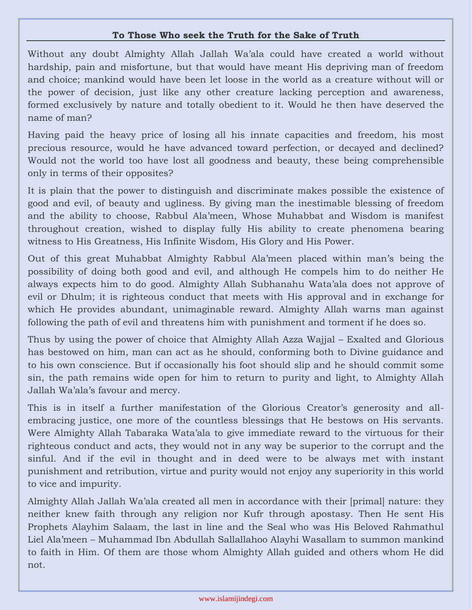## **To Those Who seek the Truth for the Sake of Truth**

Without any doubt Almighty Allah Jallah Wa'ala could have created a world without hardship, pain and misfortune, but that would have meant His depriving man of freedom and choice; mankind would have been let loose in the world as a creature without will or the power of decision, just like any other creature lacking perception and awareness, formed exclusively by nature and totally obedient to it. Would he then have deserved the name of man?

Having paid the heavy price of losing all his innate capacities and freedom, his most precious resource, would he have advanced toward perfection, or decayed and declined? Would not the world too have lost all goodness and beauty, these being comprehensible only in terms of their opposites?

It is plain that the power to distinguish and discriminate makes possible the existence of good and evil, of beauty and ugliness. By giving man the inestimable blessing of freedom and the ability to choose, Rabbul Ala'meen, Whose Muhabbat and Wisdom is manifest throughout creation, wished to display fully His ability to create phenomena bearing witness to His Greatness, His Infinite Wisdom, His Glory and His Power.

Out of this great Muhabbat Almighty Rabbul Ala'meen placed within man's being the possibility of doing both good and evil, and although He compels him to do neither He always expects him to do good. Almighty Allah Subhanahu Wata'ala does not approve of evil or Dhulm; it is righteous conduct that meets with His approval and in exchange for which He provides abundant, unimaginable reward. Almighty Allah warns man against following the path of evil and threatens him with punishment and torment if he does so.

Thus by using the power of choice that Almighty Allah Azza Wajjal – Exalted and Glorious has bestowed on him, man can act as he should, conforming both to Divine guidance and to his own conscience. But if occasionally his foot should slip and he should commit some sin, the path remains wide open for him to return to purity and light, to Almighty Allah Jallah Wa'ala's favour and mercy.

This is in itself a further manifestation of the Glorious Creator's generosity and allembracing justice, one more of the countless blessings that He bestows on His servants. Were Almighty Allah Tabaraka Wata'ala to give immediate reward to the virtuous for their righteous conduct and acts, they would not in any way be superior to the corrupt and the sinful. And if the evil in thought and in deed were to be always met with instant punishment and retribution, virtue and purity would not enjoy any superiority in this world to vice and impurity.

Almighty Allah Jallah Wa'ala created all men in accordance with their [primal] nature: they neither knew faith through any religion nor Kufr through apostasy. Then He sent His Prophets Alayhim Salaam, the last in line and the Seal who was His Beloved Rahmathul Liel Ala'meen – Muhammad Ibn Abdullah Sallallahoo Alayhi Wasallam to summon mankind to faith in Him. Of them are those whom Almighty Allah guided and others whom He did not.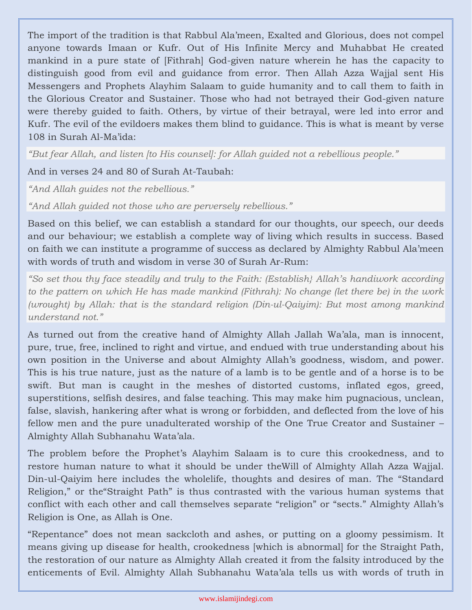The import of the tradition is that Rabbul Ala'meen, Exalted and Glorious, does not compel anyone towards Imaan or Kufr. Out of His Infinite Mercy and Muhabbat He created mankind in a pure state of [Fithrah] God-given nature wherein he has the capacity to distinguish good from evil and guidance from error. Then Allah Azza Wajjal sent His Messengers and Prophets Alayhim Salaam to guide humanity and to call them to faith in the Glorious Creator and Sustainer. Those who had not betrayed their God-given nature were thereby guided to faith. Others, by virtue of their betrayal, were led into error and Kufr. The evil of the evildoers makes them blind to guidance. This is what is meant by verse 108 in Surah Al-Ma'ida:

*"But fear Allah, and listen [to His counsel]: for Allah guided not a rebellious people."*

And in verses 24 and 80 of Surah At-Taubah:

*"And Allah guides not the rebellious."*

*"And Allah guided not those who are perversely rebellious."*

Based on this belief, we can establish a standard for our thoughts, our speech, our deeds and our behaviour; we establish a complete way of living which results in success. Based on faith we can institute a programme of success as declared by Almighty Rabbul Ala'meen with words of truth and wisdom in verse 30 of Surah Ar-Rum:

*"So set thou thy face steadily and truly to the Faith: (Establish} Allah's handiwork according to the pattern on which He has made mankind (Fithrah): No change (let there be) in the work (wrought) by Allah: that is the standard religion (Din-ul-Qaiyim): But most among mankind understand not."*

As turned out from the creative hand of Almighty Allah Jallah Wa'ala, man is innocent, pure, true, free, inclined to right and virtue, and endued with true understanding about his own position in the Universe and about Almighty Allah's goodness, wisdom, and power. This is his true nature, just as the nature of a lamb is to be gentle and of a horse is to be swift. But man is caught in the meshes of distorted customs, inflated egos, greed, superstitions, selfish desires, and false teaching. This may make him pugnacious, unclean, false, slavish, hankering after what is wrong or forbidden, and deflected from the love of his fellow men and the pure unadulterated worship of the One True Creator and Sustainer – Almighty Allah Subhanahu Wata'ala.

The problem before the Prophet's Alayhim Salaam is to cure this crookedness, and to restore human nature to what it should be under theWill of Almighty Allah Azza Wajjal. Din-ul-Qaiyim here includes the wholelife, thoughts and desires of man. The "Standard Religion," or the"Straight Path" is thus contrasted with the various human systems that conflict with each other and call themselves separate "religion" or "sects." Almighty Allah's Religion is One, as Allah is One.

"Repentance" does not mean sackcloth and ashes, or putting on a gloomy pessimism. It means giving up disease for health, crookedness [which is abnormal] for the Straight Path, the restoration of our nature as Almighty Allah created it from the falsity introduced by the enticements of Evil. Almighty Allah Subhanahu Wata'ala tells us with words of truth in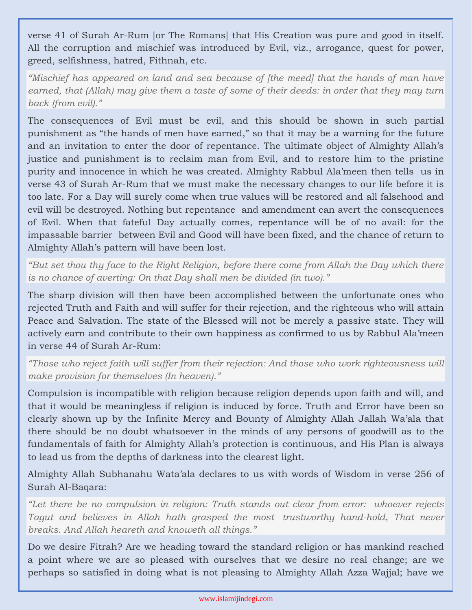verse 41 of Surah Ar-Rum [or The Romans] that His Creation was pure and good in itself. All the corruption and mischief was introduced by Evil, viz., arrogance, quest for power, greed, selfishness, hatred, Fithnah, etc.

*"Mischief has appeared on land and sea because of [the meed] that the hands of man have earned, that (Allah) may give them a taste of some of their deeds: in order that they may turn back (from evil)."*

The consequences of Evil must be evil, and this should be shown in such partial punishment as "the hands of men have earned," so that it may be a warning for the future and an invitation to enter the door of repentance. The ultimate object of Almighty Allah's justice and punishment is to reclaim man from Evil, and to restore him to the pristine purity and innocence in which he was created. Almighty Rabbul Ala'meen then tells us in verse 43 of Surah Ar-Rum that we must make the necessary changes to our life before it is too late. For a Day will surely come when true values will be restored and all falsehood and evil will be destroyed. Nothing but repentance and amendment can avert the consequences of Evil. When that fateful Day actually comes, repentance will be of no avail: for the impassable barrier between Evil and Good will have been fixed, and the chance of return to Almighty Allah's pattern will have been lost.

*"But set thou thy face to the Right Religion, before there come from Allah the Day which there is no chance of averting: On that Day shall men be divided (in two)."*

The sharp division will then have been accomplished between the unfortunate ones who rejected Truth and Faith and will suffer for their rejection, and the righteous who will attain Peace and Salvation. The state of the Blessed will not be merely a passive state. They will actively earn and contribute to their own happiness as confirmed to us by Rabbul Ala'meen in verse 44 of Surah Ar-Rum:

*"Those who reject faith will suffer from their rejection: And those who work righteousness will make provision for themselves (In heaven)."*

Compulsion is incompatible with religion because religion depends upon faith and will, and that it would be meaningless if religion is induced by force. Truth and Error have been so clearly shown up by the Infinite Mercy and Bounty of Almighty Allah Jallah Wa'ala that there should be no doubt whatsoever in the minds of any persons of goodwill as to the fundamentals of faith for Almighty Allah's protection is continuous, and His Plan is always to lead us from the depths of darkness into the clearest light.

Almighty Allah Subhanahu Wata'ala declares to us with words of Wisdom in verse 256 of Surah Al-Baqara:

*"Let there be no compulsion in religion: Truth stands out clear from error: whoever rejects Tagut and believes in Allah hath grasped the most trustworthy hand-hold, That never breaks. And Allah heareth and knoweth all things."*

Do we desire Fitrah? Are we heading toward the standard religion or has mankind reached a point where we are so pleased with ourselves that we desire no real change; are we perhaps so satisfied in doing what is not pleasing to Almighty Allah Azza Wajjal; have we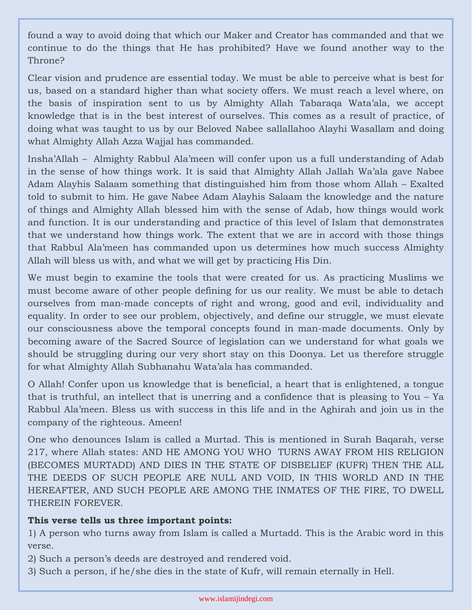found a way to avoid doing that which our Maker and Creator has commanded and that we continue to do the things that He has prohibited? Have we found another way to the Throne?

Clear vision and prudence are essential today. We must be able to perceive what is best for us, based on a standard higher than what society offers. We must reach a level where, on the basis of inspiration sent to us by Almighty Allah Tabaraqa Wata'ala, we accept knowledge that is in the best interest of ourselves. This comes as a result of practice, of doing what was taught to us by our Beloved Nabee sallallahoo Alayhi Wasallam and doing what Almighty Allah Azza Wajjal has commanded.

Insha'Allah – Almighty Rabbul Ala'meen will confer upon us a full understanding of Adab in the sense of how things work. It is said that Almighty Allah Jallah Wa'ala gave Nabee Adam Alayhis Salaam something that distinguished him from those whom Allah – Exalted told to submit to him. He gave Nabee Adam Alayhis Salaam the knowledge and the nature of things and Almighty Allah blessed him with the sense of Adab, how things would work and function. It is our understanding and practice of this level of Islam that demonstrates that we understand how things work. The extent that we are in accord with those things that Rabbul Ala'meen has commanded upon us determines how much success Almighty Allah will bless us with, and what we will get by practicing His Din.

We must begin to examine the tools that were created for us. As practicing Muslims we must become aware of other people defining for us our reality. We must be able to detach ourselves from man-made concepts of right and wrong, good and evil, individuality and equality. In order to see our problem, objectively, and define our struggle, we must elevate our consciousness above the temporal concepts found in man-made documents. Only by becoming aware of the Sacred Source of legislation can we understand for what goals we should be struggling during our very short stay on this Doonya. Let us therefore struggle for what Almighty Allah Subhanahu Wata'ala has commanded.

O Allah! Confer upon us knowledge that is beneficial, a heart that is enlightened, a tongue that is truthful, an intellect that is unerring and a confidence that is pleasing to You – Ya Rabbul Ala'meen. Bless us with success in this life and in the Aghirah and join us in the company of the righteous. Ameen!

One who denounces Islam is called a Murtad. This is mentioned in Surah Baqarah, verse 217, where Allah states: AND HE AMONG YOU WHO TURNS AWAY FROM HIS RELIGION (BECOMES MURTADD) AND DIES IN THE STATE OF DISBELIEF (KUFR) THEN THE ALL THE DEEDS OF SUCH PEOPLE ARE NULL AND VOID, IN THIS WORLD AND IN THE HEREAFTER, AND SUCH PEOPLE ARE AMONG THE INMATES OF THE FIRE, TO DWELL THEREIN FOREVER.

## **This verse tells us three important points:**

1) A person who turns away from Islam is called a Murtadd. This is the Arabic word in this verse.

2) Such a person's deeds are destroyed and rendered void.

3) Such a person, if he/she dies in the state of Kufr, will remain eternally in Hell.